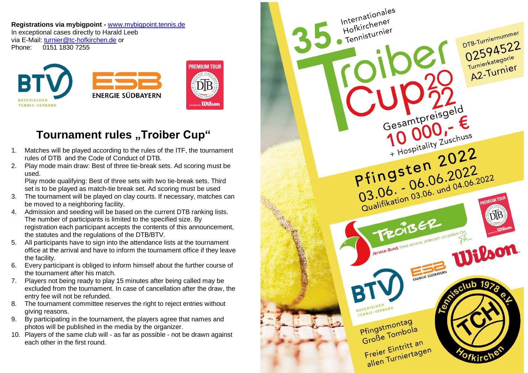**Registrations via mybigpoint -** [www.mybigpoint.tennis.de](http://www.mybigpoint.tennis.de/) In exceptional cases directly to Harald Leeb via E-Mail: [turnier@tc-hofkirchen.de](mailto:turnier@tc-hofkirchen.de) or Phone: 0151 1830 7255



## **Tournament rules "Troiber Cup"**

- 1. Matches will be played according to the rules of the ITF, the tournament rules of DTB and the Code of Conduct of DTB.
- 2. Play mode main draw: Best of three tie-break sets. Ad scoring must be used.

Play mode qualifying: Best of three sets with two tie-break sets. Third set is to be played as match-tie break set. Ad scoring must be used

- 3. The tournament will be played on clay courts. If necessary, matches can be moved to a neighboring facility.
- 4. Admission and seeding will be based on the current DTB ranking lists. The number of participants is limited to the specified size. By registration each participant accepts the contents of this announcement, the statutes and the regulations of the DTB/BTV.
- 5. All participants have to sign into the attendance lists at the tournament office at the arrival and have to inform the tournament office if they leave the facility.
- 6. Every participant is obliged to inform himself about the further course of the tournament after his match.
- 7. Players not being ready to play 15 minutes after being called may be excluded from the tournament. In case of cancellation after the draw, the entry fee will not be refunded.
- 8. The tournament committee reserves the right to reject entries without giving reasons.
- 9. By participating in the tournament, the players agree that names and photos will be published in the media by the organizer.
- 10. Players of the same club will as far as possible not be drawn against each other in the first round.